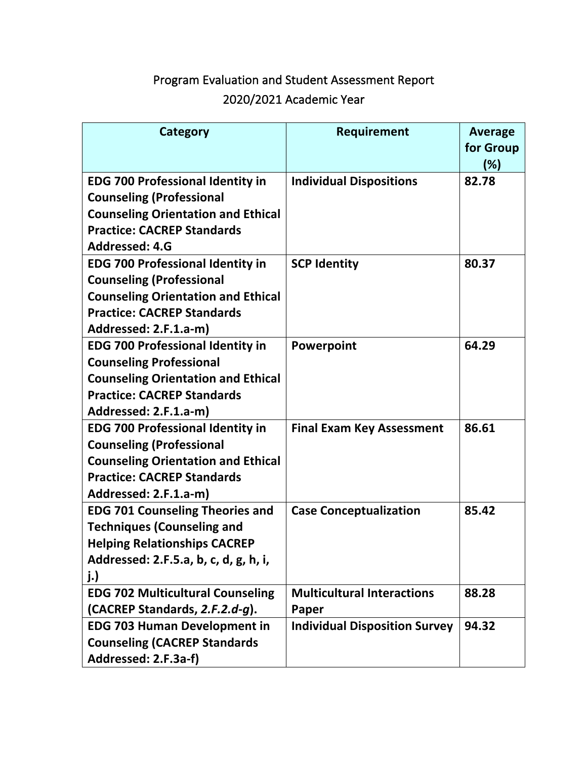# Program Evaluation and Student Assessment Report 2020/2021 Academic Year

| Category                                  | Requirement                          | <b>Average</b> |
|-------------------------------------------|--------------------------------------|----------------|
|                                           |                                      | for Group      |
|                                           |                                      | $(\%)$         |
| <b>EDG 700 Professional Identity in</b>   | <b>Individual Dispositions</b>       | 82.78          |
| <b>Counseling (Professional</b>           |                                      |                |
| <b>Counseling Orientation and Ethical</b> |                                      |                |
| <b>Practice: CACREP Standards</b>         |                                      |                |
| Addressed: 4.G                            |                                      |                |
| <b>EDG 700 Professional Identity in</b>   | <b>SCP Identity</b>                  | 80.37          |
| <b>Counseling (Professional</b>           |                                      |                |
| <b>Counseling Orientation and Ethical</b> |                                      |                |
| <b>Practice: CACREP Standards</b>         |                                      |                |
| Addressed: 2.F.1.a-m)                     |                                      |                |
| <b>EDG 700 Professional Identity in</b>   | Powerpoint                           | 64.29          |
| <b>Counseling Professional</b>            |                                      |                |
| <b>Counseling Orientation and Ethical</b> |                                      |                |
| <b>Practice: CACREP Standards</b>         |                                      |                |
| Addressed: 2.F.1.a-m)                     |                                      |                |
| <b>EDG 700 Professional Identity in</b>   | <b>Final Exam Key Assessment</b>     | 86.61          |
| <b>Counseling (Professional</b>           |                                      |                |
| <b>Counseling Orientation and Ethical</b> |                                      |                |
| <b>Practice: CACREP Standards</b>         |                                      |                |
| Addressed: 2.F.1.a-m)                     |                                      |                |
| <b>EDG 701 Counseling Theories and</b>    | <b>Case Conceptualization</b>        | 85.42          |
| <b>Techniques (Counseling and</b>         |                                      |                |
| <b>Helping Relationships CACREP</b>       |                                      |                |
| Addressed: 2.F.5.a, b, c, d, g, h, i,     |                                      |                |
| j.)                                       |                                      |                |
| <b>EDG 702 Multicultural Counseling</b>   | <b>Multicultural Interactions</b>    | 88.28          |
| (CACREP Standards, 2.F.2.d-g).            | Paper                                |                |
| <b>EDG 703 Human Development in</b>       | <b>Individual Disposition Survey</b> | 94.32          |
| <b>Counseling (CACREP Standards</b>       |                                      |                |
| Addressed: 2.F.3a-f)                      |                                      |                |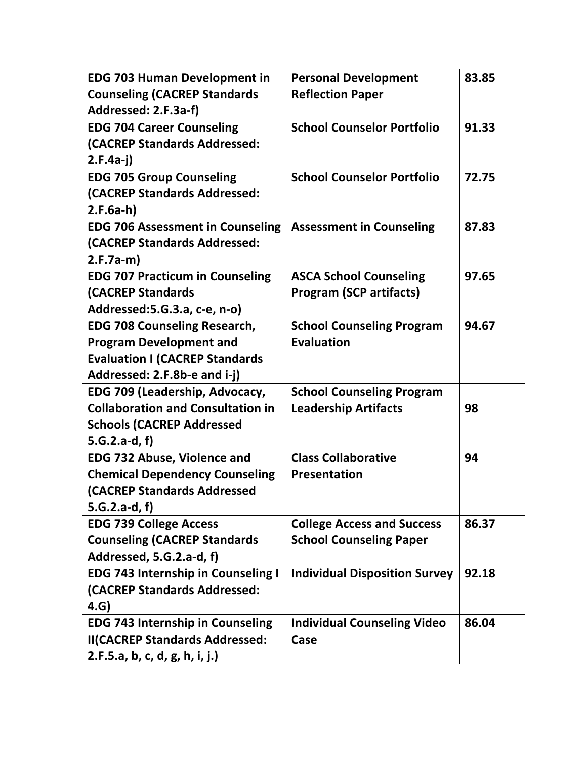| <b>EDG 703 Human Development in</b>       | <b>Personal Development</b>          | 83.85 |
|-------------------------------------------|--------------------------------------|-------|
| <b>Counseling (CACREP Standards</b>       | <b>Reflection Paper</b>              |       |
| Addressed: 2.F.3a-f)                      |                                      |       |
| <b>EDG 704 Career Counseling</b>          | <b>School Counselor Portfolio</b>    | 91.33 |
| (CACREP Standards Addressed:              |                                      |       |
| $2.F.4a-i)$                               |                                      |       |
| <b>EDG 705 Group Counseling</b>           | <b>School Counselor Portfolio</b>    | 72.75 |
| (CACREP Standards Addressed:              |                                      |       |
| $2.F.Ga-h)$                               |                                      |       |
| <b>EDG 706 Assessment in Counseling</b>   | <b>Assessment in Counseling</b>      | 87.83 |
| (CACREP Standards Addressed:              |                                      |       |
| $2.F.7a-m)$                               |                                      |       |
| <b>EDG 707 Practicum in Counseling</b>    | <b>ASCA School Counseling</b>        | 97.65 |
| <b>(CACREP Standards</b>                  | <b>Program (SCP artifacts)</b>       |       |
| Addressed: 5.G. 3.a, c-e, n-o)            |                                      |       |
| <b>EDG 708 Counseling Research,</b>       | <b>School Counseling Program</b>     | 94.67 |
| <b>Program Development and</b>            | <b>Evaluation</b>                    |       |
| <b>Evaluation I (CACREP Standards</b>     |                                      |       |
| Addressed: 2.F.8b-e and i-j)              |                                      |       |
| EDG 709 (Leadership, Advocacy,            | <b>School Counseling Program</b>     |       |
| <b>Collaboration and Consultation in</b>  | <b>Leadership Artifacts</b>          | 98    |
| <b>Schools (CACREP Addressed</b>          |                                      |       |
| $5.G.2.a-d, f)$                           |                                      |       |
| <b>EDG 732 Abuse, Violence and</b>        | <b>Class Collaborative</b>           | 94    |
| <b>Chemical Dependency Counseling</b>     | <b>Presentation</b>                  |       |
| <b>(CACREP Standards Addressed</b>        |                                      |       |
| $5.G.2.a-d, f)$                           |                                      |       |
| <b>EDG 739 College Access</b>             | <b>College Access and Success</b>    | 86.37 |
| <b>Counseling (CACREP Standards</b>       | <b>School Counseling Paper</b>       |       |
| Addressed, 5.G.2.a-d, f)                  |                                      |       |
| <b>EDG 743 Internship in Counseling I</b> | <b>Individual Disposition Survey</b> | 92.18 |
| (CACREP Standards Addressed:              |                                      |       |
| 4.G)                                      |                                      |       |
| <b>EDG 743 Internship in Counseling</b>   | <b>Individual Counseling Video</b>   | 86.04 |
| <b>II(CACREP Standards Addressed:</b>     | Case                                 |       |
| 2.F.5.a, b, c, d, g, h, i, j.)            |                                      |       |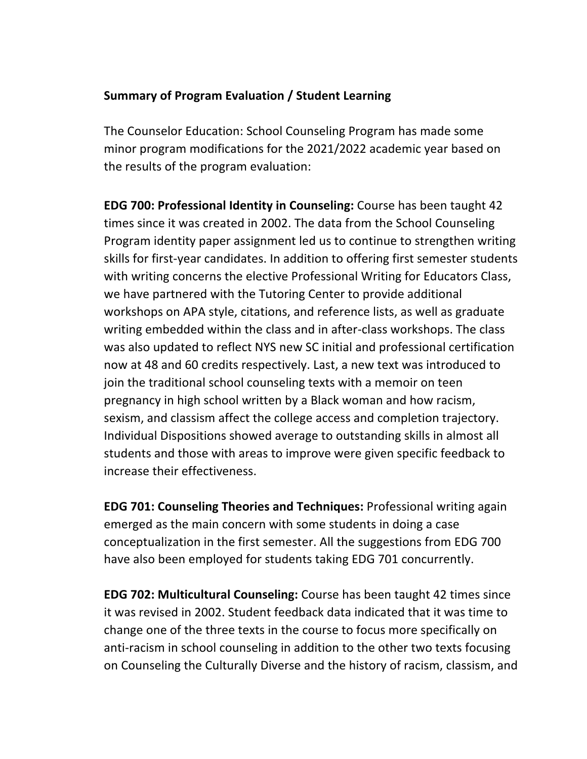## **Summary of Program Evaluation / Student Learning**

The Counselor Education: School Counseling Program has made some minor program modifications for the 2021/2022 academic year based on the results of the program evaluation:

**EDG 700: Professional Identity in Counseling:** Course has been taught 42 times since it was created in 2002. The data from the School Counseling Program identity paper assignment led us to continue to strengthen writing skills for first-year candidates. In addition to offering first semester students with writing concerns the elective Professional Writing for Educators Class, we have partnered with the Tutoring Center to provide additional workshops on APA style, citations, and reference lists, as well as graduate writing embedded within the class and in after-class workshops. The class was also updated to reflect NYS new SC initial and professional certification now at 48 and 60 credits respectively. Last, a new text was introduced to join the traditional school counseling texts with a memoir on teen pregnancy in high school written by a Black woman and how racism, sexism, and classism affect the college access and completion trajectory. Individual Dispositions showed average to outstanding skills in almost all students and those with areas to improve were given specific feedback to increase their effectiveness.

**EDG 701: Counseling Theories and Techniques:** Professional writing again emerged as the main concern with some students in doing a case conceptualization in the first semester. All the suggestions from EDG 700 have also been employed for students taking EDG 701 concurrently.

**EDG 702: Multicultural Counseling:** Course has been taught 42 times since it was revised in 2002. Student feedback data indicated that it was time to change one of the three texts in the course to focus more specifically on anti-racism in school counseling in addition to the other two texts focusing on Counseling the Culturally Diverse and the history of racism, classism, and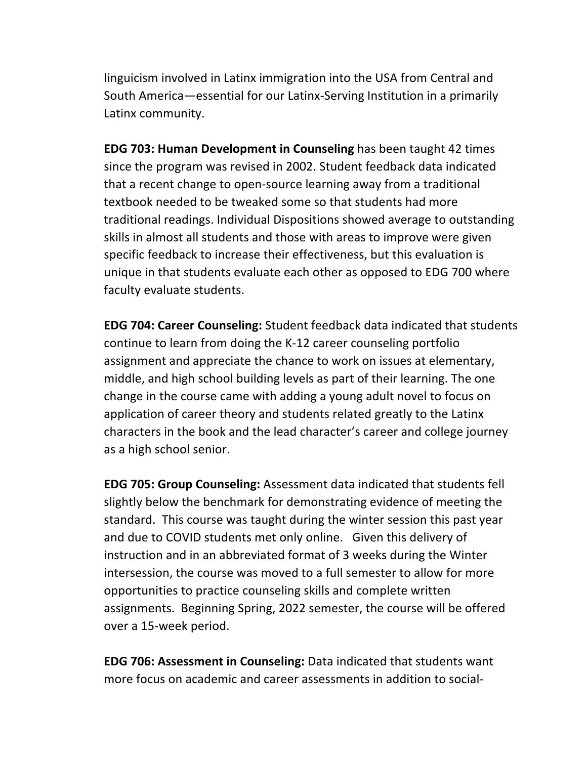linguicism involved in Latinx immigration into the USA from Central and South America—essential for our Latinx-Serving Institution in a primarily Latinx community.

**EDG 703: Human Development in Counseling** has been taught 42 times since the program was revised in 2002. Student feedback data indicated that a recent change to open-source learning away from a traditional textbook needed to be tweaked some so that students had more traditional readings. Individual Dispositions showed average to outstanding skills in almost all students and those with areas to improve were given specific feedback to increase their effectiveness, but this evaluation is unique in that students evaluate each other as opposed to EDG 700 where faculty evaluate students.

**EDG 704: Career Counseling:** Student feedback data indicated that students continue to learn from doing the K-12 career counseling portfolio assignment and appreciate the chance to work on issues at elementary, middle, and high school building levels as part of their learning. The one change in the course came with adding a young adult novel to focus on application of career theory and students related greatly to the Latinx characters in the book and the lead character's career and college journey as a high school senior.

**EDG 705: Group Counseling:** Assessment data indicated that students fell slightly below the benchmark for demonstrating evidence of meeting the standard. This course was taught during the winter session this past year and due to COVID students met only online. Given this delivery of instruction and in an abbreviated format of 3 weeks during the Winter intersession, the course was moved to a full semester to allow for more opportunities to practice counseling skills and complete written assignments. Beginning Spring, 2022 semester, the course will be offered over a 15-week period.

**EDG 706: Assessment in Counseling:** Data indicated that students want more focus on academic and career assessments in addition to social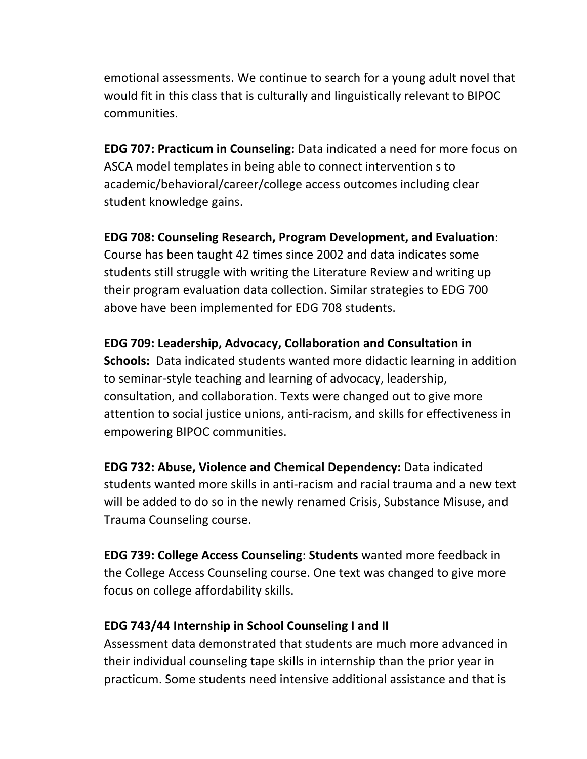emotional assessments. We continue to search for a young adult novel that would fit in this class that is culturally and linguistically relevant to BIPOC communities.

**EDG 707: Practicum in Counseling:** Data indicated a need for more focus on ASCA model templates in being able to connect intervention s to academic/behavioral/career/college access outcomes including clear student knowledge gains.

**EDG 708: Counseling Research, Program Development, and Evaluation**: Course has been taught 42 times since 2002 and data indicates some students still struggle with writing the Literature Review and writing up their program evaluation data collection. Similar strategies to EDG 700 above have been implemented for EDG 708 students.

**EDG 709: Leadership, Advocacy, Collaboration and Consultation in Schools:** Data indicated students wanted more didactic learning in addition to seminar-style teaching and learning of advocacy, leadership, consultation, and collaboration. Texts were changed out to give more attention to social justice unions, anti-racism, and skills for effectiveness in empowering BIPOC communities.

**EDG 732: Abuse, Violence and Chemical Dependency:** Data indicated students wanted more skills in anti-racism and racial trauma and a new text will be added to do so in the newly renamed Crisis, Substance Misuse, and Trauma Counseling course.

**EDG 739: College Access Counseling**: **Students** wanted more feedback in the College Access Counseling course. One text was changed to give more focus on college affordability skills.

## **EDG 743/44 Internship in School Counseling I and II**

Assessment data demonstrated that students are much more advanced in their individual counseling tape skills in internship than the prior year in practicum. Some students need intensive additional assistance and that is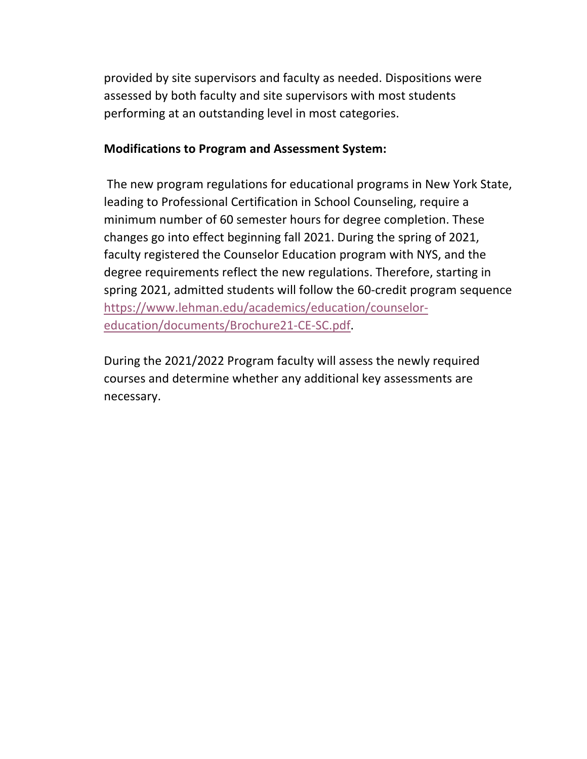provided by site supervisors and faculty as needed. Dispositions were assessed by both faculty and site supervisors with most students performing at an outstanding level in most categories.

#### **Modifications to Program and Assessment System:**

The new program regulations for educational programs in New York State, leading to Professional Certification in School Counseling, require a minimum number of 60 semester hours for degree completion. These changes go into effect beginning fall 2021. During the spring of 2021, faculty registered the Counselor Education program with NYS, and the degree requirements reflect the new regulations. Therefore, starting in spring 2021, admitted students will follow the 60-credit program sequence https://www.lehman.edu/academics/education/counseloreducation/documents/Brochure21-CE-SC.pdf.

During the 2021/2022 Program faculty will assess the newly required courses and determine whether any additional key assessments are necessary.